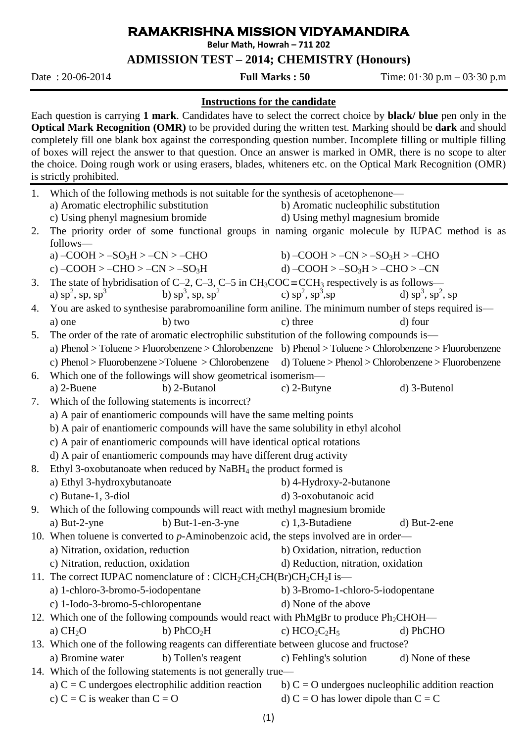## **RAMAKRISHNA MISSION VIDYAMANDIRA**

**Belur Math, Howrah – 711 202**

## **ADMISSION TEST – 2014; CHEMISTRY (Honours)**

Date : 20-06-2014 **Full Marks : 50** Time: 01·30 p.m – 03·30 p.m

## **Instructions for the candidate**

Each question is carrying **1 mark**. Candidates have to select the correct choice by **black/ blue** pen only in the **Optical Mark Recognition (OMR)** to be provided during the written test. Marking should be **dark** and should completely fill one blank box against the corresponding question number. Incomplete filling or multiple filling of boxes will reject the answer to that question. Once an answer is marked in OMR, there is no scope to alter the choice. Doing rough work or using erasers, blades, whiteners etc. on the Optical Mark Recognition (OMR) is strictly prohibited.

|                                                                       | 1. Which of the following methods is not suitable for the synthesis of acetophenone—                                                       |                                                                                                                                                                                                        |                         |  |  |
|-----------------------------------------------------------------------|--------------------------------------------------------------------------------------------------------------------------------------------|--------------------------------------------------------------------------------------------------------------------------------------------------------------------------------------------------------|-------------------------|--|--|
|                                                                       | a) Aromatic electrophilic substitution                                                                                                     | b) Aromatic nucleophilic substitution                                                                                                                                                                  |                         |  |  |
|                                                                       | c) Using phenyl magnesium bromide                                                                                                          | d) Using methyl magnesium bromide                                                                                                                                                                      |                         |  |  |
| 2.                                                                    | The priority order of some functional groups in naming organic molecule by IUPAC method is as<br>follows-                                  |                                                                                                                                                                                                        |                         |  |  |
|                                                                       | a) $-COOH > -SO3H > -CN > -CHO$                                                                                                            | b) $-COOH > -CN > -SO3H > -CHO$                                                                                                                                                                        |                         |  |  |
|                                                                       | c) $-COOH > -CHO > -CN > -SO3H$ d) $-COOH > -SO3H > -CHO > -CN$                                                                            |                                                                                                                                                                                                        |                         |  |  |
| 3.                                                                    | The state of hybridisation of C-2, C-3, C-5 in $CH_3COC \equiv CCH_3$ respectively is as follows—                                          |                                                                                                                                                                                                        |                         |  |  |
|                                                                       | a) sp <sup>2</sup> , sp, sp <sup>3</sup> b) sp <sup>3</sup> , sp, sp <sup>2</sup> c) sp <sup>2</sup> , sp <sup>3</sup> , sp                |                                                                                                                                                                                                        | d) $sp^3$ , $sp^2$ , sp |  |  |
| 4.                                                                    | You are asked to synthesise parabromoaniline form aniline. The minimum number of steps required is—                                        |                                                                                                                                                                                                        |                         |  |  |
|                                                                       | b) two<br>a) one                                                                                                                           | c) three                                                                                                                                                                                               | d) four                 |  |  |
| 5.                                                                    |                                                                                                                                            |                                                                                                                                                                                                        |                         |  |  |
|                                                                       |                                                                                                                                            | The order of the rate of aromatic electrophilic substitution of the following compounds is—<br>a) Phenol > Toluene > Fluorobenzene > Chlorobenzene b) Phenol > Toluene > Chlorobenzene > Fluorobenzene |                         |  |  |
|                                                                       | c) Phenol > Fluorobenzene > Toluene > Chlorobenzene d) Toluene > Phenol > Chlorobenzene > Fluorobenzene                                    |                                                                                                                                                                                                        |                         |  |  |
| 6.                                                                    | Which one of the followings will show geometrical isomerism—                                                                               |                                                                                                                                                                                                        |                         |  |  |
|                                                                       | a) 2-Buene<br>b) 2-Butanol                                                                                                                 | c) $2$ -Butyne                                                                                                                                                                                         | d) 3-Butenol            |  |  |
| 7.                                                                    | Which of the following statements is incorrect?                                                                                            |                                                                                                                                                                                                        |                         |  |  |
| a) A pair of enantiomeric compounds will have the same melting points |                                                                                                                                            |                                                                                                                                                                                                        |                         |  |  |
|                                                                       | b) A pair of enantiomeric compounds will have the same solubility in ethyl alcohol                                                         |                                                                                                                                                                                                        |                         |  |  |
|                                                                       | c) A pair of enantiomeric compounds will have identical optical rotations                                                                  |                                                                                                                                                                                                        |                         |  |  |
|                                                                       |                                                                                                                                            |                                                                                                                                                                                                        |                         |  |  |
|                                                                       | d) A pair of enantiomeric compounds may have different drug activity<br>Ethyl 3-oxobutanoate when reduced by $NaBH4$ the product formed is |                                                                                                                                                                                                        |                         |  |  |
| 8.                                                                    |                                                                                                                                            |                                                                                                                                                                                                        |                         |  |  |
|                                                                       | a) Ethyl 3-hydroxybutanoate                                                                                                                | b) 4-Hydroxy-2-butanone                                                                                                                                                                                |                         |  |  |
|                                                                       | c) Butane-1, 3-diol                                                                                                                        | d) 3-oxobutanoic acid                                                                                                                                                                                  |                         |  |  |
| 9.                                                                    | Which of the following compounds will react with methyl magnesium bromide                                                                  |                                                                                                                                                                                                        |                         |  |  |
|                                                                       | b) But-1-en-3-yne<br>a) But-2-yne                                                                                                          | c) $1,3$ -Butadiene                                                                                                                                                                                    | $d)$ But-2-ene          |  |  |
|                                                                       | 10. When toluene is converted to $p$ -Aminobenzoic acid, the steps involved are in order—                                                  |                                                                                                                                                                                                        |                         |  |  |
|                                                                       | a) Nitration, oxidation, reduction                                                                                                         | b) Oxidation, nitration, reduction                                                                                                                                                                     |                         |  |  |
|                                                                       |                                                                                                                                            | c) Nitration, reduction, oxidation<br>d) Reduction, nitration, oxidation                                                                                                                               |                         |  |  |
|                                                                       | 11. The correct IUPAC nomenclature of : $CICH_2CH_2CH(Br)CH_2CH_2I$ is—                                                                    |                                                                                                                                                                                                        |                         |  |  |
|                                                                       | a) 1-chloro-3-bromo-5-iodopentane                                                                                                          | b) 3-Bromo-1-chloro-5-iodopentane                                                                                                                                                                      |                         |  |  |
|                                                                       | c) 1-Iodo-3-bromo-5-chloropentane                                                                                                          | d) None of the above                                                                                                                                                                                   |                         |  |  |
|                                                                       | 12. Which one of the following compounds would react with PhMgBr to produce Ph <sub>2</sub> CHOH—                                          |                                                                                                                                                                                                        |                         |  |  |
|                                                                       | b) $PhCO2H$<br>a) $CH2O$                                                                                                                   | c) $HCO2C2H5$                                                                                                                                                                                          | d) PhCHO                |  |  |
|                                                                       | 13. Which one of the following reagents can differentiate between glucose and fructose?                                                    |                                                                                                                                                                                                        |                         |  |  |
|                                                                       | a) Bromine water<br>b) Tollen's reagent                                                                                                    | c) Fehling's solution                                                                                                                                                                                  | d) None of these        |  |  |
|                                                                       | 14. Which of the following statements is not generally true—                                                                               |                                                                                                                                                                                                        |                         |  |  |
|                                                                       | a) $C = C$ undergoes electrophilic addition reaction                                                                                       | b) $C = O$ undergoes nucleophilic addition reaction                                                                                                                                                    |                         |  |  |
|                                                                       | c) $C = C$ is weaker than $C = O$                                                                                                          | d) C = O has lower dipole than C = C                                                                                                                                                                   |                         |  |  |
|                                                                       |                                                                                                                                            |                                                                                                                                                                                                        |                         |  |  |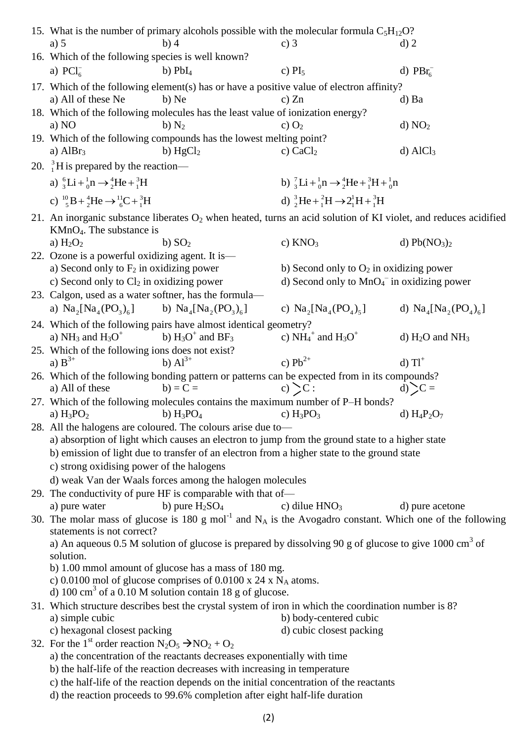|                                                    |                                                                                                                                                                |                                                                                | 15. What is the number of primary alcohols possible with the molecular formula $C_5H_{12}O$ ?                           |                                              |  |  |
|----------------------------------------------------|----------------------------------------------------------------------------------------------------------------------------------------------------------------|--------------------------------------------------------------------------------|-------------------------------------------------------------------------------------------------------------------------|----------------------------------------------|--|--|
|                                                    | a) $5$                                                                                                                                                         | b) 4                                                                           | c) $3$                                                                                                                  | $d)$ 2                                       |  |  |
|                                                    | 16. Which of the following species is well known?                                                                                                              |                                                                                |                                                                                                                         |                                              |  |  |
|                                                    | a) $PCl6^-$                                                                                                                                                    | $b)$ $PbI4$                                                                    | c) $PI_5$                                                                                                               | d) $PBr_6^-$                                 |  |  |
|                                                    |                                                                                                                                                                |                                                                                |                                                                                                                         |                                              |  |  |
|                                                    |                                                                                                                                                                |                                                                                | 17. Which of the following element(s) has or have a positive value of electron affinity?                                |                                              |  |  |
|                                                    | a) All of these Ne                                                                                                                                             | b) Ne                                                                          | c) $Zn$                                                                                                                 | d) Ba                                        |  |  |
|                                                    |                                                                                                                                                                | 18. Which of the following molecules has the least value of ionization energy? |                                                                                                                         |                                              |  |  |
| b) $N_2$<br>d) NO <sub>2</sub><br>a) NO<br>c) $O2$ |                                                                                                                                                                |                                                                                |                                                                                                                         |                                              |  |  |
|                                                    |                                                                                                                                                                | 19. Which of the following compounds has the lowest melting point?             |                                                                                                                         |                                              |  |  |
|                                                    | a) $AlBr3$                                                                                                                                                     | b) $HgCl2$                                                                     | c) $CaCl2$                                                                                                              | $d)$ AlCl <sub>3</sub>                       |  |  |
|                                                    | 20. ${}^{3}_{1}$ H is prepared by the reaction—                                                                                                                |                                                                                |                                                                                                                         |                                              |  |  |
|                                                    | a) ${}_{3}^{6}Li + {}_{0}^{1}n \rightarrow {}_{2}^{4}He + {}_{1}^{3}H$<br>b) ${}_{3}^{7}Li + {}_{0}^{1}n \rightarrow {}_{2}^{4}He + {}_{1}^{3}H + {}_{0}^{1}n$ |                                                                                |                                                                                                                         |                                              |  |  |
|                                                    |                                                                                                                                                                |                                                                                |                                                                                                                         |                                              |  |  |
|                                                    | c) ${}^{10}_{5}B + {}^{4}_{2}He \rightarrow {}^{11}_{6}C + {}^{3}_{1}H$                                                                                        |                                                                                | d) ${}_{2}^{3}He + {}_{1}^{2}H \rightarrow 2{}_{1}^{1}H + {}_{1}^{3}H$                                                  |                                              |  |  |
|                                                    | 21. An inorganic substance liberates $O_2$ when heated, turns an acid solution of KI violet, and reduces acidified<br>$KMnO4$ . The substance is               |                                                                                |                                                                                                                         |                                              |  |  |
|                                                    | a) $H_2O_2$                                                                                                                                                    | b) $SO2$                                                                       | c) $KNO3$                                                                                                               | d) $Pb(NO3)2$                                |  |  |
|                                                    | 22. Ozone is a powerful oxidizing agent. It is—                                                                                                                |                                                                                |                                                                                                                         |                                              |  |  |
|                                                    | a) Second only to $F_2$ in oxidizing power                                                                                                                     |                                                                                | b) Second only to $O_2$ in oxidizing power                                                                              |                                              |  |  |
|                                                    | c) Second only to $Cl2$ in oxidizing power                                                                                                                     |                                                                                | d) Second only to $MnO4-$ in oxidizing power                                                                            |                                              |  |  |
|                                                    | 23. Calgon, used as a water softner, has the formula—                                                                                                          |                                                                                |                                                                                                                         |                                              |  |  |
|                                                    |                                                                                                                                                                |                                                                                |                                                                                                                         |                                              |  |  |
|                                                    | a) $\text{Na}_2[\text{Na}_4(\text{PO}_3)_6]$                                                                                                                   | b) $\text{Na}_4[\text{Na}_2(\text{PO}_3)_6]$                                   | c) $\text{Na}_2[\text{Na}_4(\text{PO}_4)_5]$                                                                            | d) $\text{Na}_4[\text{Na}_2(\text{PO}_4)_6]$ |  |  |
|                                                    |                                                                                                                                                                | 24. Which of the following pairs have almost identical geometry?               |                                                                                                                         |                                              |  |  |
|                                                    | a) NH <sub>3</sub> and H <sub>3</sub> O <sup>+</sup>                                                                                                           | b) $H_3O^+$ and BF <sub>3</sub>                                                | c) $NH_4^+$ and $H_3O^+$                                                                                                | d) $H_2O$ and $NH_3$                         |  |  |
|                                                    | 25. Which of the following ions does not exist?                                                                                                                |                                                                                |                                                                                                                         |                                              |  |  |
|                                                    | a) $B^{3+}$                                                                                                                                                    | b) $Al^{3+}$                                                                   | c) $Pb^{2+}$                                                                                                            | $d)$ $T1^+$                                  |  |  |
|                                                    |                                                                                                                                                                |                                                                                | 26. Which of the following bonding pattern or patterns can be expected from in its compounds?                           |                                              |  |  |
|                                                    | a) All of these                                                                                                                                                | $b) = C =$                                                                     | c) $\sum C$ :                                                                                                           | $d)$ $C =$                                   |  |  |
|                                                    |                                                                                                                                                                |                                                                                | 27. Which of the following molecules contains the maximum number of P-H bonds?                                          |                                              |  |  |
|                                                    | a) $H_3PO_2$                                                                                                                                                   | b) $H_3PO_4$                                                                   | c) $H_3PO_3$                                                                                                            | d) $H_4P_2O_7$                               |  |  |
|                                                    | 28. All the halogens are coloured. The colours arise due to-                                                                                                   |                                                                                |                                                                                                                         |                                              |  |  |
|                                                    | a) absorption of light which causes an electron to jump from the ground state to a higher state                                                                |                                                                                |                                                                                                                         |                                              |  |  |
|                                                    | b) emission of light due to transfer of an electron from a higher state to the ground state<br>c) strong oxidising power of the halogens                       |                                                                                |                                                                                                                         |                                              |  |  |
|                                                    |                                                                                                                                                                |                                                                                |                                                                                                                         |                                              |  |  |
|                                                    | d) weak Van der Waals forces among the halogen molecules                                                                                                       |                                                                                |                                                                                                                         |                                              |  |  |
|                                                    | 29. The conductivity of pure HF is comparable with that of-                                                                                                    |                                                                                |                                                                                                                         |                                              |  |  |
|                                                    | a) pure water                                                                                                                                                  | b) pure $H_2SO_4$                                                              | c) dilue $HNO3$                                                                                                         | d) pure acetone                              |  |  |
|                                                    |                                                                                                                                                                |                                                                                | 30. The molar mass of glucose is 180 g mol <sup>-1</sup> and $N_A$ is the Avogadro constant. Which one of the following |                                              |  |  |
|                                                    | statements is not correct?                                                                                                                                     |                                                                                |                                                                                                                         |                                              |  |  |
|                                                    | a) An aqueous 0.5 M solution of glucose is prepared by dissolving 90 g of glucose to give 1000 $\text{cm}^3$ of                                                |                                                                                |                                                                                                                         |                                              |  |  |
|                                                    | solution.                                                                                                                                                      |                                                                                |                                                                                                                         |                                              |  |  |
|                                                    | b) 1.00 mmol amount of glucose has a mass of 180 mg.                                                                                                           |                                                                                |                                                                                                                         |                                              |  |  |
|                                                    | c) 0.0100 mol of glucose comprises of 0.0100 x 24 x $N_A$ atoms.                                                                                               |                                                                                |                                                                                                                         |                                              |  |  |
|                                                    | d) 100 cm <sup>3</sup> of a 0.10 M solution contain 18 g of glucose.                                                                                           |                                                                                |                                                                                                                         |                                              |  |  |
|                                                    | 31. Which structure describes best the crystal system of iron in which the coordination number is 8?                                                           |                                                                                |                                                                                                                         |                                              |  |  |
|                                                    | a) simple cubic                                                                                                                                                |                                                                                | b) body-centered cubic                                                                                                  |                                              |  |  |
|                                                    | c) hexagonal closest packing                                                                                                                                   |                                                                                | d) cubic closest packing                                                                                                |                                              |  |  |
|                                                    | 32. For the 1 <sup>st</sup> order reaction $N_2O_5 \rightarrow NO_2 + O_2$                                                                                     |                                                                                |                                                                                                                         |                                              |  |  |
|                                                    |                                                                                                                                                                | a) the concentration of the reactants decreases exponentially with time        |                                                                                                                         |                                              |  |  |
|                                                    |                                                                                                                                                                | b) the half-life of the reaction decreases with increasing in temperature      |                                                                                                                         |                                              |  |  |
|                                                    | c) the half-life of the reaction depends on the initial concentration of the reactants                                                                         |                                                                                |                                                                                                                         |                                              |  |  |
|                                                    | d) the reaction proceeds to 99.6% completion after eight half-life duration                                                                                    |                                                                                |                                                                                                                         |                                              |  |  |
|                                                    |                                                                                                                                                                |                                                                                |                                                                                                                         |                                              |  |  |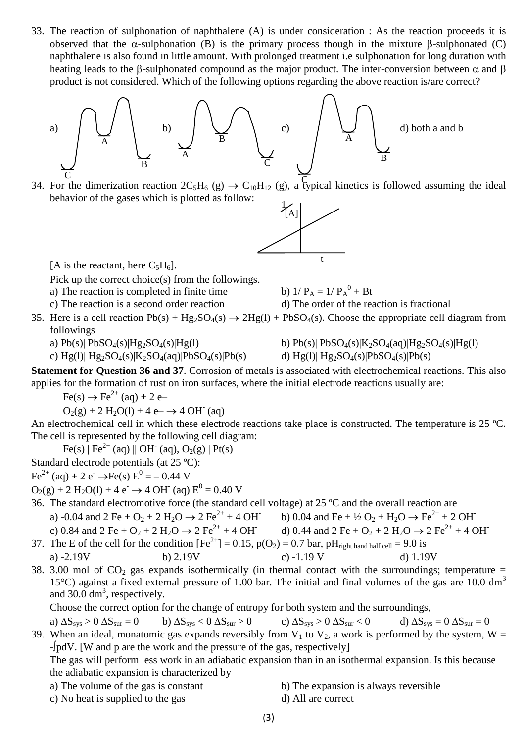33. The reaction of sulphonation of naphthalene (A) is under consideration : As the reaction proceeds it is observed that the  $\alpha$ -sulphonation (B) is the primary process though in the mixture  $\beta$ -sulphonated (C) naphthalene is also found in little amount. With prolonged treatment i.e sulphonation for long duration with heating leads to the  $\beta$ -sulphonated compound as the major product. The inter-conversion between  $\alpha$  and  $\beta$ product is not considered. Which of the following options regarding the above reaction is/are correct?



34. For the dimerization reaction  $2C_5H_6$  (g)  $\rightarrow C_{10}H_{12}$  (g), a typical kinetics is followed assuming the ideal behavior of the gases which is plotted as follow:



[A is the reactant, here  $C_5H_6$ ].

Pick up the correct choice(s) from the followings.

- a) The reaction is completed in finite time
	-
- $^{0}$  + Bt
- c) The reaction is a second order reaction d) The order of the reaction is fractional
- 35. Here is a cell reaction  $Pb(s) + Hg_2SO_4(s) \rightarrow 2Hg(1) + PbSO_4(s)$ . Choose the appropriate cell diagram from followings
	-
	- c)  $Hg(1)$ |  $Hg_2SO_4(s)$ | $K_2SO_4(aq)$ | $PbSO_4(s)$ | $Pb(s)$  d)  $Hg(1)$ |  $Hg_2SO_4(s)$ | $PbSO_4(s)$ | $Pb(s)$
	- a)  $Pb(s)| PbSO_4(s)|Hg_2SO_4(s)|Hg(1)$  b)  $Pb(s)| PbSO_4(s)|K_2SO_4(aq)|Hg_2SO_4(s)|Hg(1)$ 
		-

**Statement for Question 36 and 37**. Corrosion of metals is associated with electrochemical reactions. This also applies for the formation of rust on iron surfaces, where the initial electrode reactions usually are:

 $Fe(s) \rightarrow Fe^{2+} (aa) + 2 e^-$ 

 $O_2(g) + 2 H_2O(l) + 4 e^- \rightarrow 4 OH^{\dagger}$  (aq)

An electrochemical cell in which these electrode reactions take place is constructed. The temperature is 25 °C. The cell is represented by the following cell diagram:

 $Fe(s) | Fe^{2+} (aq) || OH^{-} (aq), O_2(g) | Pt(s)$ 

Standard electrode potentials (at 25 ºC):

 $\text{Fe}^{2+}$  (aq) + 2 e<sup>-</sup>  $\rightarrow$  Fe(s)  $E^{0}$  = - 0.44 V

$$
O_2(g) + 2 H_2O(l) + 4 e^- \rightarrow 4 OH^- (aq) E^0 = 0.40 V
$$

- 36. The standard electromotive force (the standard cell voltage) at 25 ºC and the overall reaction are a) -0.04 and 2 Fe + O<sub>2</sub> + 2 H<sub>2</sub>O  $\rightarrow$  2 Fe<sup>2+</sup> + 4 OH b) 0.04 and Fe +  $\frac{1}{2}$  O<sub>2</sub> + H<sub>2</sub>O  $\rightarrow$  Fe<sup>2+</sup> + 2 OH c) 0.84 and 2 Fe + O<sub>2</sub> + 2 H<sub>2</sub>O  $\rightarrow$  2 Fe<sup>2+</sup> + 4 OH d) 0.44 and 2 Fe + O<sub>2</sub> + 2 H<sub>2</sub>O  $\rightarrow$  2 Fe<sup>2+</sup> + 4 OH
- 37. The E of the cell for the condition  $[Fe^{2+}] = 0.15$ ,  $p(O_2) = 0.7$  bar,  $pH_{right hand half cell} = 9.0$  is a) -2.19V b) 2.19V c) -1.19 V d) 1.19V
- 38. 3.00 mol of  $CO<sub>2</sub>$  gas expands isothermically (in thermal contact with the surroundings; temperature = 15°C) against a fixed external pressure of 1.00 bar. The initial and final volumes of the gas are 10.0 dm<sup>3</sup> and  $30.0 \text{ dm}^3$ , respectively.

Choose the correct option for the change of entropy for both system and the surroundings,

a)  $\Delta S_{sys} > 0$   $\Delta S_{sur} = 0$  b)  $\Delta S_{sys} < 0$   $\Delta S_{sur} > 0$  c)  $\Delta S_{sys} > 0$   $\Delta S_{sur} < 0$  d)  $\Delta S_{sys} = 0$   $\Delta S_{sur} = 0$ 39. When an ideal, monatomic gas expands reversibly from  $V_1$  to  $V_2$ , a work is performed by the system, W =

-pdV. [W and p are the work and the pressure of the gas, respectively]

The gas will perform less work in an adiabatic expansion than in an isothermal expansion. Is this because the adiabatic expansion is characterized by

- 
- c) No heat is supplied to the gas d) All are correct
- a) The volume of the gas is constant b) The expansion is always reversible
	-